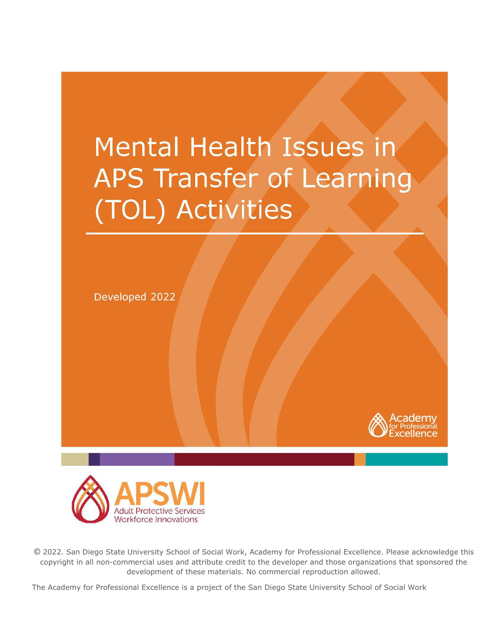## **Mental Health Issues in** APS Transfer of Learning (TOL) Activities





© 2022. San Diego State University School of Social Work, Academy for Professional Excellence. Please acknowledge this copyright in all non-commercial uses and attribute credit to the developer and those organizations that sponsored the development of these materials. No commercial reproduction allowed.

1 The Academy for Professional Excellence is a project of the San Diego State University School of Social Work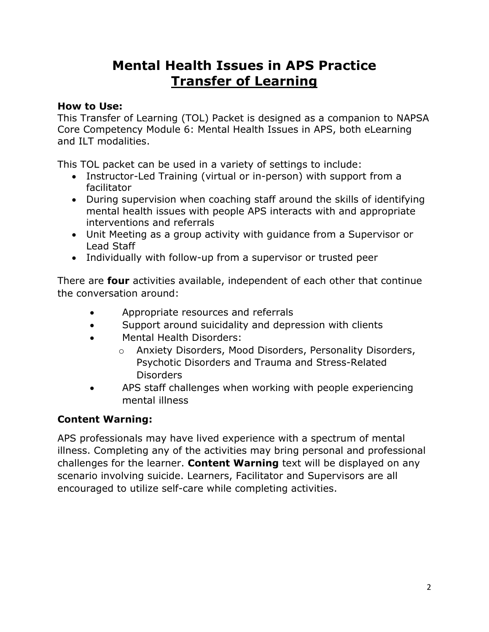## **Mental Health Issues in APS Practice Transfer of Learning**

#### **How to Use:**

This Transfer of Learning (TOL) Packet is designed as a companion to NAPSA Core Competency Module 6: Mental Health Issues in APS, both eLearning and ILT modalities.

This TOL packet can be used in a variety of settings to include:

- Instructor-Led Training (virtual or in-person) with support from a facilitator
- During supervision when coaching staff around the skills of identifying mental health issues with people APS interacts with and appropriate interventions and referrals
- Unit Meeting as a group activity with guidance from a Supervisor or Lead Staff
- Individually with follow-up from a supervisor or trusted peer

There are **four** activities available, independent of each other that continue the conversation around:

- Appropriate resources and referrals
- Support around suicidality and depression with clients
- Mental Health Disorders:
	- o Anxiety Disorders, Mood Disorders, Personality Disorders, Psychotic Disorders and Trauma and Stress-Related Disorders
- APS staff challenges when working with people experiencing mental illness

#### **Content Warning:**

APS professionals may have lived experience with a spectrum of mental illness. Completing any of the activities may bring personal and professional challenges for the learner. **Content Warning** text will be displayed on any scenario involving suicide. Learners, Facilitator and Supervisors are all encouraged to utilize self-care while completing activities.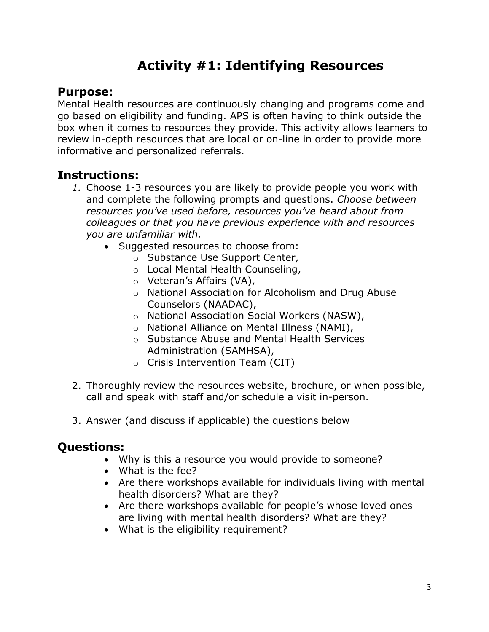## **Activity #1: Identifying Resources**

#### **Purpose:**

Mental Health resources are continuously changing and programs come and go based on eligibility and funding. APS is often having to think outside the box when it comes to resources they provide. This activity allows learners to review in-depth resources that are local or on-line in order to provide more informative and personalized referrals.

#### **Instructions:**

- *1.* Choose 1-3 resources you are likely to provide people you work with and complete the following prompts and questions. *Choose between resources you've used before, resources you've heard about from colleagues or that you have previous experience with and resources you are unfamiliar with.* 
	- Suggested resources to choose from:
		- o Substance Use Support Center,
		- o Local Mental Health Counseling,
		- o Veteran's Affairs (VA),
		- o National Association for Alcoholism and Drug Abuse Counselors (NAADAC),
		- o National Association Social Workers (NASW),
		- o National Alliance on Mental Illness (NAMI),
		- o Substance Abuse and Mental Health Services Administration (SAMHSA),
		- o Crisis Intervention Team (CIT)
- 2. Thoroughly review the resources website, brochure, or when possible, call and speak with staff and/or schedule a visit in-person.
- 3. Answer (and discuss if applicable) the questions below

- Why is this a resource you would provide to someone?
- What is the fee?
- Are there workshops available for individuals living with mental health disorders? What are they?
- Are there workshops available for people's whose loved ones are living with mental health disorders? What are they?
- What is the eligibility requirement?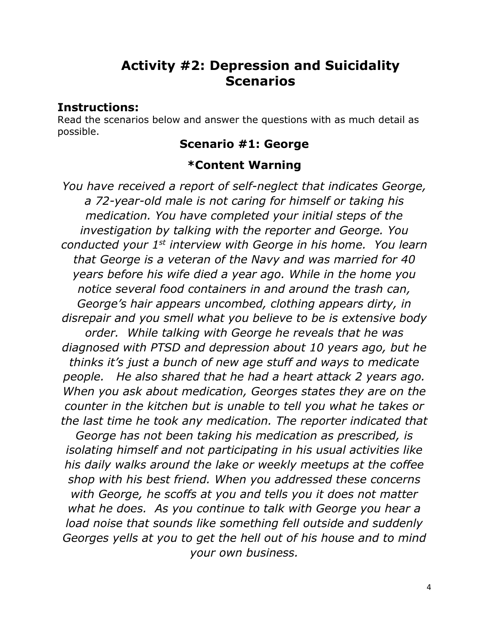## **Activity #2: Depression and Suicidality Scenarios**

#### **Instructions:**

Read the scenarios below and answer the questions with as much detail as possible.

#### **Scenario #1: George**

#### **\*Content Warning**

*You have received a report of self-neglect that indicates George, a 72-year-old male is not caring for himself or taking his medication. You have completed your initial steps of the investigation by talking with the reporter and George. You conducted your 1st interview with George in his home. You learn that George is a veteran of the Navy and was married for 40 years before his wife died a year ago. While in the home you notice several food containers in and around the trash can, George's hair appears uncombed, clothing appears dirty, in disrepair and you smell what you believe to be is extensive body order. While talking with George he reveals that he was diagnosed with PTSD and depression about 10 years ago, but he thinks it's just a bunch of new age stuff and ways to medicate people. He also shared that he had a heart attack 2 years ago. When you ask about medication, Georges states they are on the counter in the kitchen but is unable to tell you what he takes or the last time he took any medication. The reporter indicated that George has not been taking his medication as prescribed, is isolating himself and not participating in his usual activities like his daily walks around the lake or weekly meetups at the coffee shop with his best friend. When you addressed these concerns with George, he scoffs at you and tells you it does not matter what he does. As you continue to talk with George you hear a load noise that sounds like something fell outside and suddenly Georges yells at you to get the hell out of his house and to mind your own business.*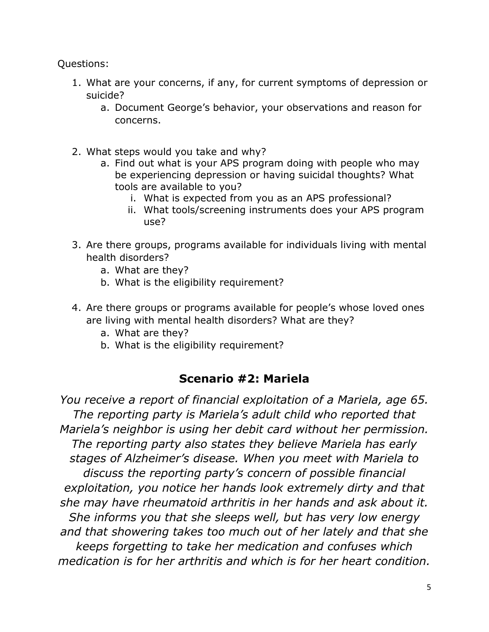Questions:

- 1. What are your concerns, if any, for current symptoms of depression or suicide?
	- a. Document George's behavior, your observations and reason for concerns.
- 2. What steps would you take and why?
	- a. Find out what is your APS program doing with people who may be experiencing depression or having suicidal thoughts? What tools are available to you?
		- i. What is expected from you as an APS professional?
		- ii. What tools/screening instruments does your APS program use?
- 3. Are there groups, programs available for individuals living with mental health disorders?
	- a. What are they?
	- b. What is the eligibility requirement?
- 4. Are there groups or programs available for people's whose loved ones are living with mental health disorders? What are they?
	- a. What are they?
	- b. What is the eligibility requirement?

#### **Scenario #2: Mariela**

*You receive a report of financial exploitation of a Mariela, age 65. The reporting party is Mariela's adult child who reported that Mariela's neighbor is using her debit card without her permission. The reporting party also states they believe Mariela has early stages of Alzheimer's disease. When you meet with Mariela to discuss the reporting party's concern of possible financial exploitation, you notice her hands look extremely dirty and that she may have rheumatoid arthritis in her hands and ask about it. She informs you that she sleeps well, but has very low energy and that showering takes too much out of her lately and that she keeps forgetting to take her medication and confuses which medication is for her arthritis and which is for her heart condition.*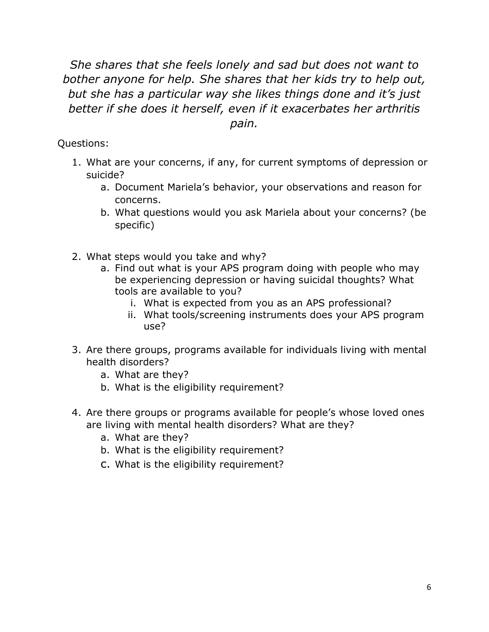*She shares that she feels lonely and sad but does not want to bother anyone for help. She shares that her kids try to help out, but she has a particular way she likes things done and it's just better if she does it herself, even if it exacerbates her arthritis pain.* 

- 1. What are your concerns, if any, for current symptoms of depression or suicide?
	- a. Document Mariela's behavior, your observations and reason for concerns.
	- b. What questions would you ask Mariela about your concerns? (be specific)
- 2. What steps would you take and why?
	- a. Find out what is your APS program doing with people who may be experiencing depression or having suicidal thoughts? What tools are available to you?
		- i. What is expected from you as an APS professional?
		- ii. What tools/screening instruments does your APS program use?
- 3. Are there groups, programs available for individuals living with mental health disorders?
	- a. What are they?
	- b. What is the eligibility requirement?
- 4. Are there groups or programs available for people's whose loved ones are living with mental health disorders? What are they?
	- a. What are they?
	- b. What is the eligibility requirement?
	- c. What is the eligibility requirement?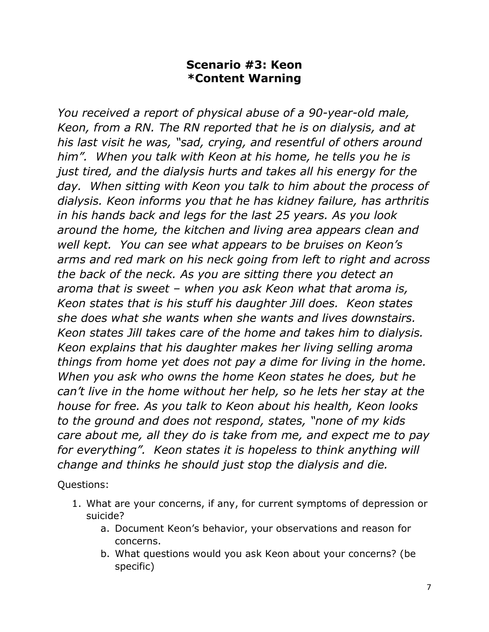#### **Scenario #3: Keon \*Content Warning**

*You received a report of physical abuse of a 90-year-old male, Keon, from a RN. The RN reported that he is on dialysis, and at his last visit he was, "sad, crying, and resentful of others around him". When you talk with Keon at his home, he tells you he is just tired, and the dialysis hurts and takes all his energy for the day. When sitting with Keon you talk to him about the process of dialysis. Keon informs you that he has kidney failure, has arthritis in his hands back and legs for the last 25 years. As you look around the home, the kitchen and living area appears clean and well kept. You can see what appears to be bruises on Keon's arms and red mark on his neck going from left to right and across the back of the neck. As you are sitting there you detect an aroma that is sweet – when you ask Keon what that aroma is, Keon states that is his stuff his daughter Jill does. Keon states she does what she wants when she wants and lives downstairs. Keon states Jill takes care of the home and takes him to dialysis. Keon explains that his daughter makes her living selling aroma things from home yet does not pay a dime for living in the home. When you ask who owns the home Keon states he does, but he can't live in the home without her help, so he lets her stay at the house for free. As you talk to Keon about his health, Keon looks to the ground and does not respond, states, "none of my kids care about me, all they do is take from me, and expect me to pay for everything". Keon states it is hopeless to think anything will change and thinks he should just stop the dialysis and die.* 

- 1. What are your concerns, if any, for current symptoms of depression or suicide?
	- a. Document Keon's behavior, your observations and reason for concerns.
	- b. What questions would you ask Keon about your concerns? (be specific)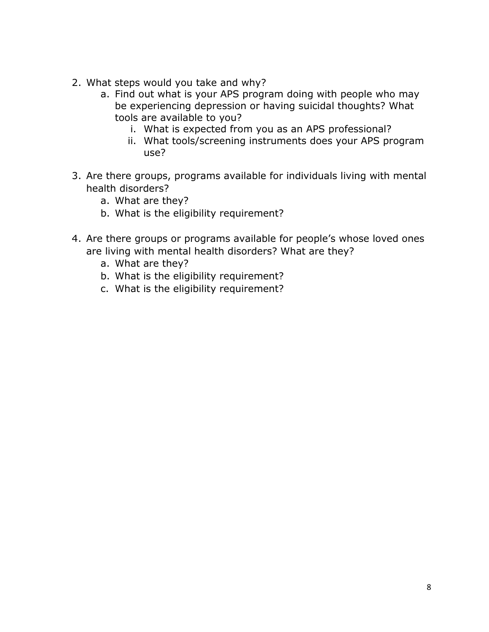- 2. What steps would you take and why?
	- a. Find out what is your APS program doing with people who may be experiencing depression or having suicidal thoughts? What tools are available to you?
		- i. What is expected from you as an APS professional?
		- ii. What tools/screening instruments does your APS program use?
- 3. Are there groups, programs available for individuals living with mental health disorders?
	- a. What are they?
	- b. What is the eligibility requirement?
- 4. Are there groups or programs available for people's whose loved ones are living with mental health disorders? What are they?
	- a. What are they?
	- b. What is the eligibility requirement?
	- c. What is the eligibility requirement?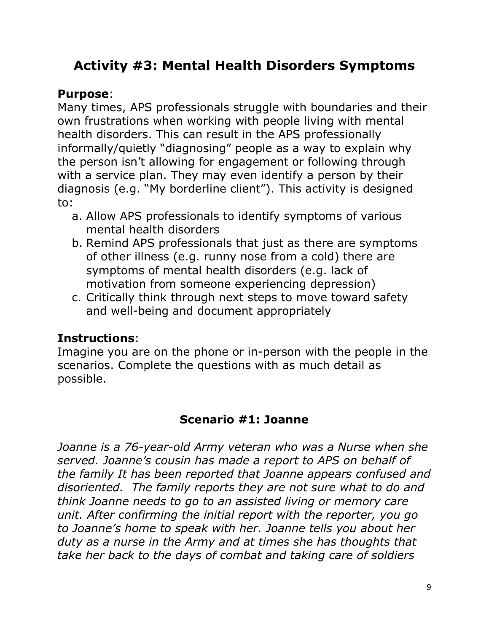## **Activity #3: Mental Health Disorders Symptoms**

#### **Purpose**:

Many times, APS professionals struggle with boundaries and their own frustrations when working with people living with mental health disorders. This can result in the APS professionally informally/quietly "diagnosing" people as a way to explain why the person isn't allowing for engagement or following through with a service plan. They may even identify a person by their diagnosis (e.g. "My borderline client"). This activity is designed to:

- a. Allow APS professionals to identify symptoms of various mental health disorders
- b. Remind APS professionals that just as there are symptoms of other illness (e.g. runny nose from a cold) there are symptoms of mental health disorders (e.g. lack of motivation from someone experiencing depression)
- c. Critically think through next steps to move toward safety and well-being and document appropriately

### **Instructions**:

Imagine you are on the phone or in-person with the people in the scenarios. Complete the questions with as much detail as possible.

#### **Scenario #1: Joanne**

*Joanne is a 76-year-old Army veteran who was a Nurse when she served. Joanne's cousin has made a report to APS on behalf of the family It has been reported that Joanne appears confused and disoriented. The family reports they are not sure what to do and think Joanne needs to go to an assisted living or memory care unit. After confirming the initial report with the reporter, you go to Joanne's home to speak with her. Joanne tells you about her duty as a nurse in the Army and at times she has thoughts that take her back to the days of combat and taking care of soldiers*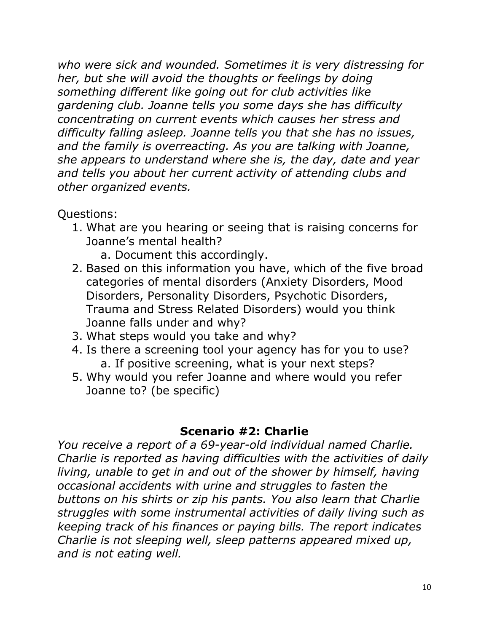*who were sick and wounded. Sometimes it is very distressing for her, but she will avoid the thoughts or feelings by doing something different like going out for club activities like gardening club. Joanne tells you some days she has difficulty concentrating on current events which causes her stress and difficulty falling asleep. Joanne tells you that she has no issues, and the family is overreacting. As you are talking with Joanne, she appears to understand where she is, the day, date and year and tells you about her current activity of attending clubs and other organized events.* 

Questions:

- 1. What are you hearing or seeing that is raising concerns for Joanne's mental health?
	- a. Document this accordingly.
- 2. Based on this information you have, which of the five broad categories of mental disorders (Anxiety Disorders, Mood Disorders, Personality Disorders, Psychotic Disorders, Trauma and Stress Related Disorders) would you think Joanne falls under and why?
- 3. What steps would you take and why?
- 4. Is there a screening tool your agency has for you to use? a. If positive screening, what is your next steps?
- 5. Why would you refer Joanne and where would you refer Joanne to? (be specific)

#### **Scenario #2: Charlie**

*You receive a report of a 69-year-old individual named Charlie. Charlie is reported as having difficulties with the activities of daily living, unable to get in and out of the shower by himself, having occasional accidents with urine and struggles to fasten the buttons on his shirts or zip his pants. You also learn that Charlie struggles with some instrumental activities of daily living such as keeping track of his finances or paying bills. The report indicates Charlie is not sleeping well, sleep patterns appeared mixed up, and is not eating well.*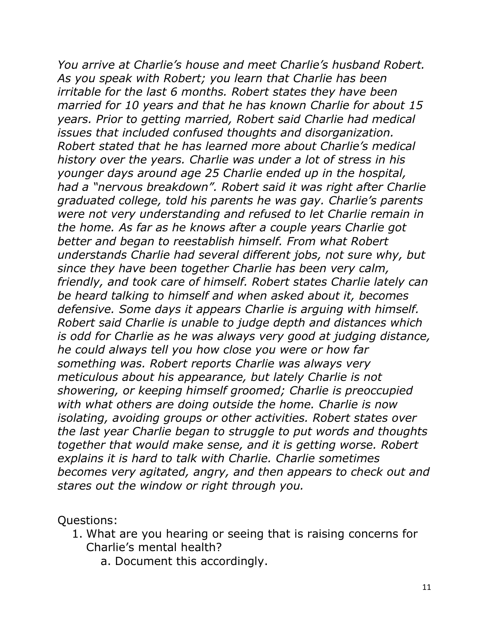*You arrive at Charlie's house and meet Charlie's husband Robert. As you speak with Robert; you learn that Charlie has been irritable for the last 6 months. Robert states they have been married for 10 years and that he has known Charlie for about 15 years. Prior to getting married, Robert said Charlie had medical issues that included confused thoughts and disorganization. Robert stated that he has learned more about Charlie's medical history over the years. Charlie was under a lot of stress in his younger days around age 25 Charlie ended up in the hospital, had a "nervous breakdown". Robert said it was right after Charlie graduated college, told his parents he was gay. Charlie's parents were not very understanding and refused to let Charlie remain in the home. As far as he knows after a couple years Charlie got better and began to reestablish himself. From what Robert understands Charlie had several different jobs, not sure why, but since they have been together Charlie has been very calm, friendly, and took care of himself. Robert states Charlie lately can be heard talking to himself and when asked about it, becomes defensive. Some days it appears Charlie is arguing with himself. Robert said Charlie is unable to judge depth and distances which is odd for Charlie as he was always very good at judging distance, he could always tell you how close you were or how far something was. Robert reports Charlie was always very meticulous about his appearance, but lately Charlie is not showering, or keeping himself groomed; Charlie is preoccupied with what others are doing outside the home. Charlie is now isolating, avoiding groups or other activities. Robert states over the last year Charlie began to struggle to put words and thoughts together that would make sense, and it is getting worse. Robert explains it is hard to talk with Charlie. Charlie sometimes becomes very agitated, angry, and then appears to check out and stares out the window or right through you.* 

- 1. What are you hearing or seeing that is raising concerns for Charlie's mental health?
	- a. Document this accordingly.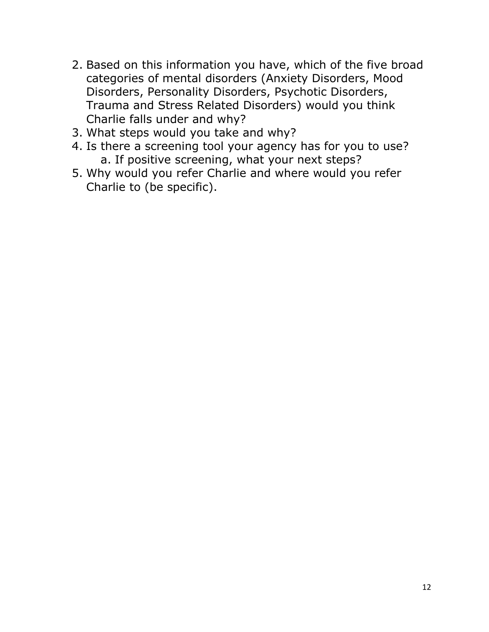- 2. Based on this information you have, which of the five broad categories of mental disorders (Anxiety Disorders, Mood Disorders, Personality Disorders, Psychotic Disorders, Trauma and Stress Related Disorders) would you think Charlie falls under and why?
- 3. What steps would you take and why?
- 4. Is there a screening tool your agency has for you to use? a. If positive screening, what your next steps?
- 5. Why would you refer Charlie and where would you refer Charlie to (be specific).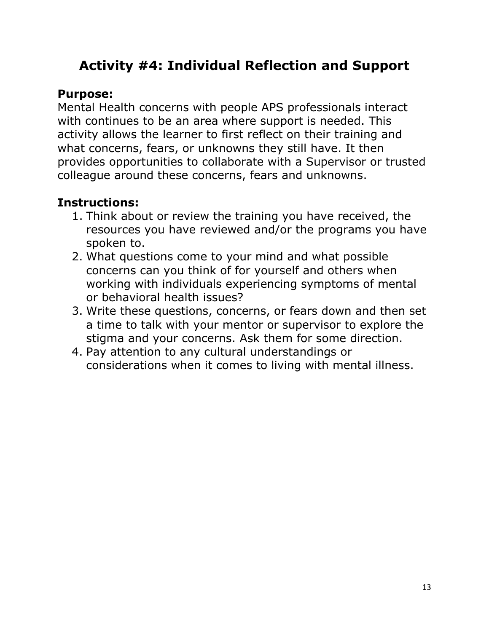## **Activity #4: Individual Reflection and Support**

#### **Purpose:**

Mental Health concerns with people APS professionals interact with continues to be an area where support is needed. This activity allows the learner to first reflect on their training and what concerns, fears, or unknowns they still have. It then provides opportunities to collaborate with a Supervisor or trusted colleague around these concerns, fears and unknowns.

#### **Instructions:**

- 1. Think about or review the training you have received, the resources you have reviewed and/or the programs you have spoken to.
- 2. What questions come to your mind and what possible concerns can you think of for yourself and others when working with individuals experiencing symptoms of mental or behavioral health issues?
- 3. Write these questions, concerns, or fears down and then set a time to talk with your mentor or supervisor to explore the stigma and your concerns. Ask them for some direction.
- 4. Pay attention to any cultural understandings or considerations when it comes to living with mental illness.